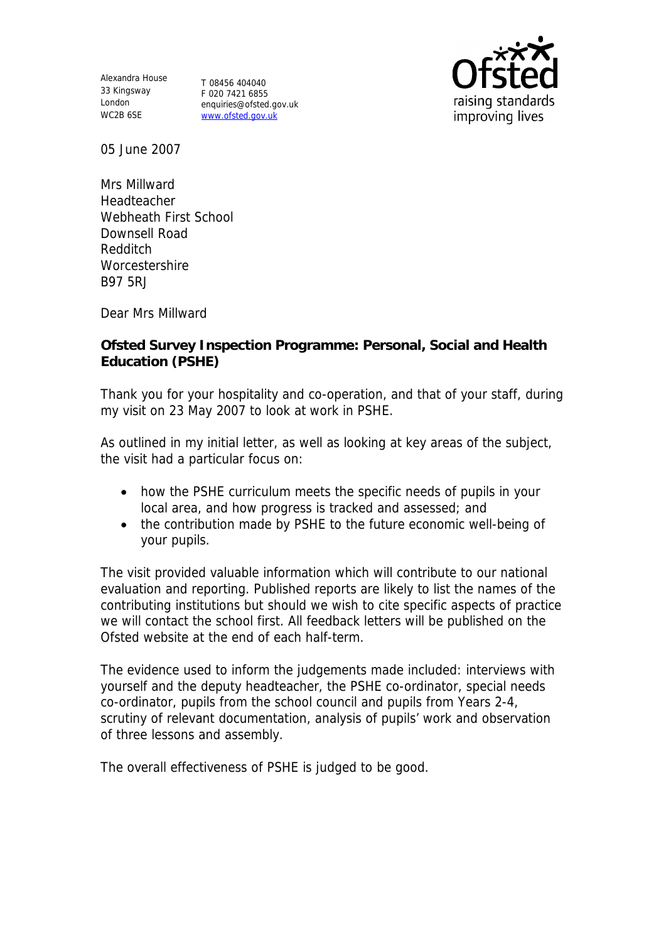Alexandra House 33 Kingsway T 08456 404040 London WC2B 6SE

F 020 7421 6855 enquiries@ofsted.gov.uk www.ofsted.gov.uk



05 June 2007

Mrs Millward Headteacher Webheath First School Downsell Road Redditch **Worcestershire** B97 5RJ

Dear Mrs Millward

**Ofsted Survey Inspection Programme: Personal, Social and Health Education (PSHE)** 

Thank you for your hospitality and co-operation, and that of your staff, during my visit on 23 May 2007 to look at work in PSHE.

As outlined in my initial letter, as well as looking at key areas of the subject, the visit had a particular focus on:

- how the PSHE curriculum meets the specific needs of pupils in your local area, and how progress is tracked and assessed; and
- the contribution made by PSHE to the future economic well-being of your pupils.

The visit provided valuable information which will contribute to our national evaluation and reporting. Published reports are likely to list the names of the contributing institutions but should we wish to cite specific aspects of practice we will contact the school first. All feedback letters will be published on the Ofsted website at the end of each half-term.

The evidence used to inform the judgements made included: interviews with yourself and the deputy headteacher, the PSHE co-ordinator, special needs co-ordinator, pupils from the school council and pupils from Years 2-4, scrutiny of relevant documentation, analysis of pupils' work and observation of three lessons and assembly.

The overall effectiveness of PSHE is judged to be good.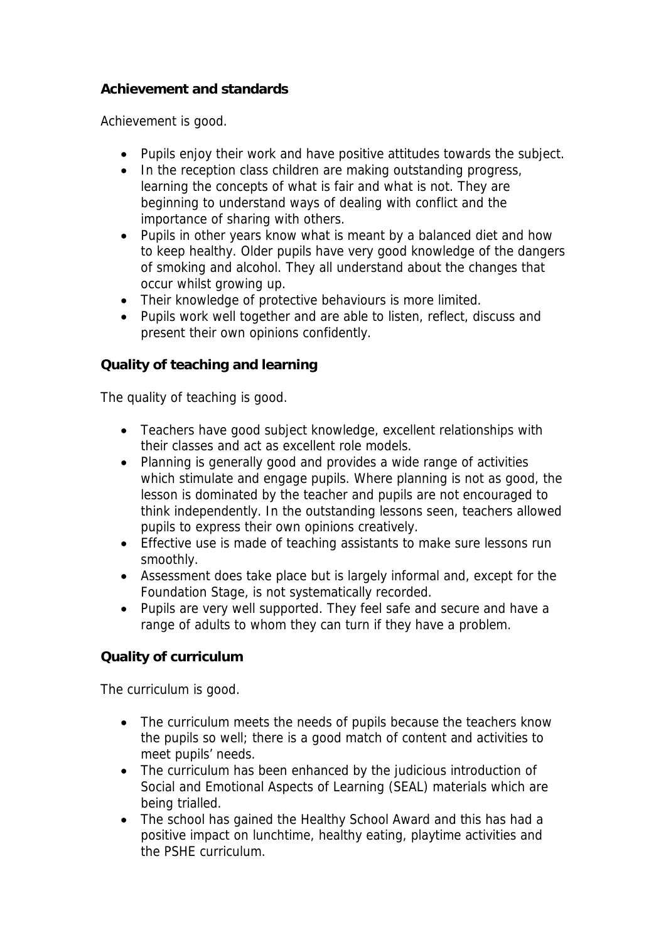## **Achievement and standards**

Achievement is good.

- Pupils enjoy their work and have positive attitudes towards the subject.
- In the reception class children are making outstanding progress, learning the concepts of what is fair and what is not. They are beginning to understand ways of dealing with conflict and the importance of sharing with others.
- Pupils in other years know what is meant by a balanced diet and how to keep healthy. Older pupils have very good knowledge of the dangers of smoking and alcohol. They all understand about the changes that occur whilst growing up.
- Their knowledge of protective behaviours is more limited.
- Pupils work well together and are able to listen, reflect, discuss and present their own opinions confidently.

## **Quality of teaching and learning**

The quality of teaching is good.

- Teachers have good subject knowledge, excellent relationships with their classes and act as excellent role models.
- Planning is generally good and provides a wide range of activities which stimulate and engage pupils. Where planning is not as good, the lesson is dominated by the teacher and pupils are not encouraged to think independently. In the outstanding lessons seen, teachers allowed pupils to express their own opinions creatively.
- Effective use is made of teaching assistants to make sure lessons run smoothly.
- Assessment does take place but is largely informal and, except for the Foundation Stage, is not systematically recorded.
- Pupils are very well supported. They feel safe and secure and have a range of adults to whom they can turn if they have a problem.

**Quality of curriculum** 

The curriculum is good.

- The curriculum meets the needs of pupils because the teachers know the pupils so well; there is a good match of content and activities to meet pupils' needs.
- The curriculum has been enhanced by the judicious introduction of Social and Emotional Aspects of Learning (SEAL) materials which are being trialled.
- The school has gained the Healthy School Award and this has had a positive impact on lunchtime, healthy eating, playtime activities and the PSHE curriculum.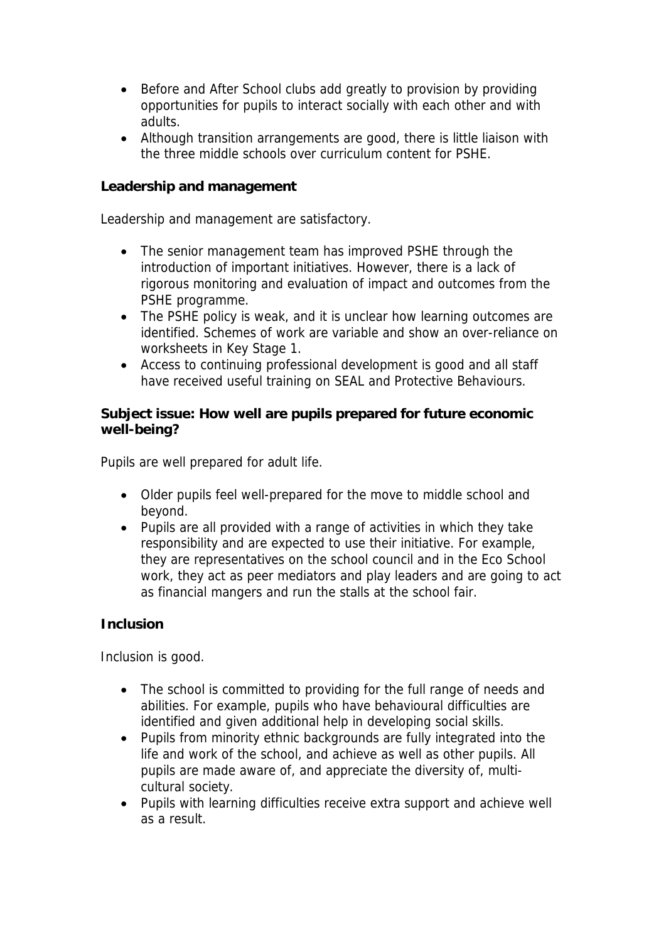- Before and After School clubs add greatly to provision by providing opportunities for pupils to interact socially with each other and with adults.
- Although transition arrangements are good, there is little liaison with the three middle schools over curriculum content for PSHE.

**Leadership and management** 

Leadership and management are satisfactory.

- The senior management team has improved PSHE through the introduction of important initiatives. However, there is a lack of rigorous monitoring and evaluation of impact and outcomes from the PSHE programme.
- The PSHE policy is weak, and it is unclear how learning outcomes are identified. Schemes of work are variable and show an over-reliance on worksheets in Key Stage 1.
- Access to continuing professional development is good and all staff have received useful training on SEAL and Protective Behaviours.

**Subject issue: How well are pupils prepared for future economic well-being?**

Pupils are well prepared for adult life.

- Older pupils feel well-prepared for the move to middle school and beyond.
- Pupils are all provided with a range of activities in which they take responsibility and are expected to use their initiative. For example, they are representatives on the school council and in the Eco School work, they act as peer mediators and play leaders and are going to act as financial mangers and run the stalls at the school fair.

## **Inclusion**

Inclusion is good.

- The school is committed to providing for the full range of needs and abilities. For example, pupils who have behavioural difficulties are identified and given additional help in developing social skills.
- Pupils from minority ethnic backgrounds are fully integrated into the life and work of the school, and achieve as well as other pupils. All pupils are made aware of, and appreciate the diversity of, multicultural society.
- Pupils with learning difficulties receive extra support and achieve well as a result.